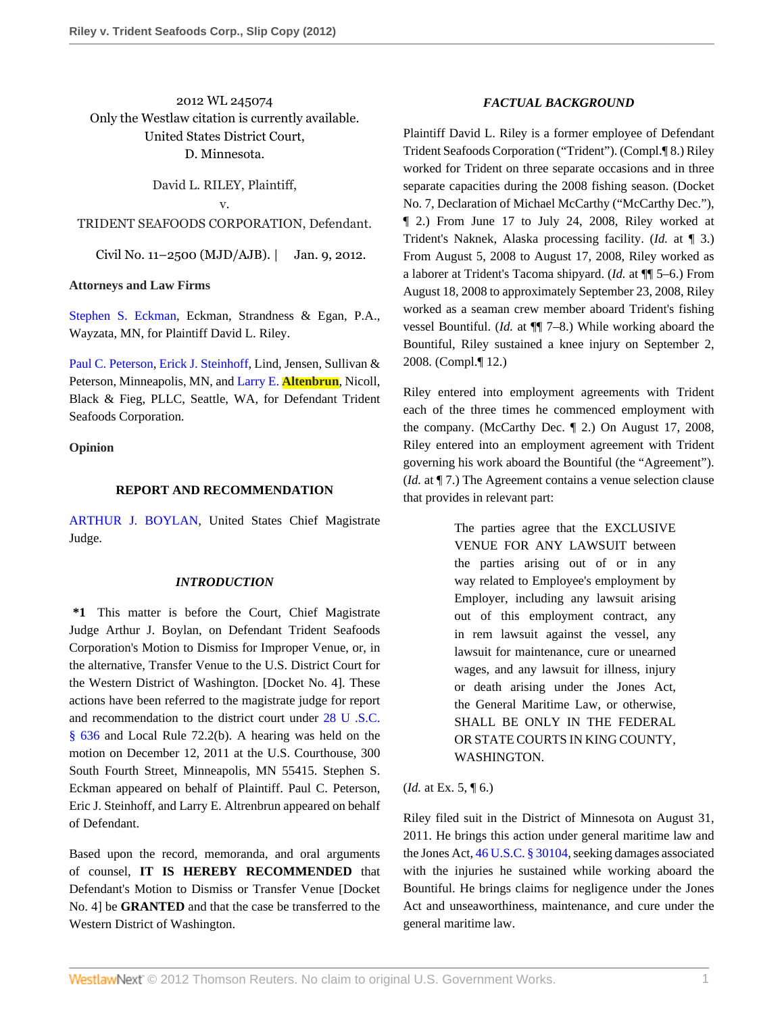2012 WL 245074 Only the Westlaw citation is currently available. United States District Court, D. Minnesota.

David L. RILEY, Plaintiff,

v.

TRIDENT SEAFOODS CORPORATION, Defendant.

Civil No. 11–2500 (MJD/AJB). | Jan. 9, 2012.

## **Attorneys and Law Firms**

[Stephen S. Eckman,](http://www.westlaw.com/Link/Document/FullText?findType=h&pubNum=176284&cite=0195348301&originatingDoc=Ib8df127348ab11e1aa95d4e04082c730&refType=RQ&originationContext=document&vr=3.0&rs=cblt1.0&transitionType=DocumentItem&contextData=(sc.Search)) Eckman, Strandness & Egan, P.A., Wayzata, MN, for Plaintiff David L. Riley.

[Paul C. Peterson,](http://www.westlaw.com/Link/Document/FullText?findType=h&pubNum=176284&cite=0169690601&originatingDoc=Ib8df127348ab11e1aa95d4e04082c730&refType=RQ&originationContext=document&vr=3.0&rs=cblt1.0&transitionType=DocumentItem&contextData=(sc.Search)) [Erick J. Steinhoff](http://www.westlaw.com/Link/Document/FullText?findType=h&pubNum=176284&cite=0369708001&originatingDoc=Ib8df127348ab11e1aa95d4e04082c730&refType=RQ&originationContext=document&vr=3.0&rs=cblt1.0&transitionType=DocumentItem&contextData=(sc.Search)), Lind, Jensen, Sullivan & Peterson, Minneapolis, MN, and Larry E. **[Altenbrun](http://www.westlaw.com/Link/Document/FullText?findType=h&pubNum=176284&cite=0329178501&originatingDoc=Ib8df127348ab11e1aa95d4e04082c730&refType=RQ&originationContext=document&vr=3.0&rs=cblt1.0&transitionType=DocumentItem&contextData=(sc.Search))**, Nicoll, Black & Fieg, PLLC, Seattle, WA, for Defendant Trident Seafoods Corporation.

## **Opinion**

### **REPORT AND RECOMMENDATION**

[ARTHUR J. BOYLAN,](http://www.westlaw.com/Link/Document/FullText?findType=h&pubNum=176284&cite=0141682301&originatingDoc=Ib8df127348ab11e1aa95d4e04082c730&refType=RQ&originationContext=document&vr=3.0&rs=cblt1.0&transitionType=DocumentItem&contextData=(sc.Search)) United States Chief Magistrate Judge.

### *INTRODUCTION*

**\*1** This matter is before the Court, Chief Magistrate Judge Arthur J. Boylan, on Defendant Trident Seafoods Corporation's Motion to Dismiss for Improper Venue, or, in the alternative, Transfer Venue to the U.S. District Court for the Western District of Washington. [Docket No. 4]. These actions have been referred to the magistrate judge for report and recommendation to the district court under [28 U .S.C.](http://www.westlaw.com/Link/Document/FullText?findType=L&pubNum=1000546&cite=28USCAS636&originatingDoc=Ib8df127348ab11e1aa95d4e04082c730&refType=LQ&originationContext=document&vr=3.0&rs=cblt1.0&transitionType=DocumentItem&contextData=(sc.Search)) [§ 636](http://www.westlaw.com/Link/Document/FullText?findType=L&pubNum=1000546&cite=28USCAS636&originatingDoc=Ib8df127348ab11e1aa95d4e04082c730&refType=LQ&originationContext=document&vr=3.0&rs=cblt1.0&transitionType=DocumentItem&contextData=(sc.Search)) and Local Rule 72.2(b). A hearing was held on the motion on December 12, 2011 at the U.S. Courthouse, 300 South Fourth Street, Minneapolis, MN 55415. Stephen S. Eckman appeared on behalf of Plaintiff. Paul C. Peterson, Eric J. Steinhoff, and Larry E. Altrenbrun appeared on behalf of Defendant.

Based upon the record, memoranda, and oral arguments of counsel, **IT IS HEREBY RECOMMENDED** that Defendant's Motion to Dismiss or Transfer Venue [Docket No. 4] be **GRANTED** and that the case be transferred to the Western District of Washington.

## *FACTUAL BACKGROUND*

Plaintiff David L. Riley is a former employee of Defendant Trident Seafoods Corporation ("Trident"). (Compl.¶ 8.) Riley worked for Trident on three separate occasions and in three separate capacities during the 2008 fishing season. (Docket No. 7, Declaration of Michael McCarthy ("McCarthy Dec."), ¶ 2.) From June 17 to July 24, 2008, Riley worked at Trident's Naknek, Alaska processing facility. (*Id.* at ¶ 3.) From August 5, 2008 to August 17, 2008, Riley worked as a laborer at Trident's Tacoma shipyard. (*Id.* at ¶¶ 5–6.) From August 18, 2008 to approximately September 23, 2008, Riley worked as a seaman crew member aboard Trident's fishing vessel Bountiful. (*Id.* at ¶¶ 7–8.) While working aboard the Bountiful, Riley sustained a knee injury on September 2, 2008. (Compl.¶ 12.)

Riley entered into employment agreements with Trident each of the three times he commenced employment with the company. (McCarthy Dec. ¶ 2.) On August 17, 2008, Riley entered into an employment agreement with Trident governing his work aboard the Bountiful (the "Agreement"). (*Id.* at ¶ 7.) The Agreement contains a venue selection clause that provides in relevant part:

> The parties agree that the EXCLUSIVE VENUE FOR ANY LAWSUIT between the parties arising out of or in any way related to Employee's employment by Employer, including any lawsuit arising out of this employment contract, any in rem lawsuit against the vessel, any lawsuit for maintenance, cure or unearned wages, and any lawsuit for illness, injury or death arising under the Jones Act, the General Maritime Law, or otherwise, SHALL BE ONLY IN THE FEDERAL OR STATE COURTS IN KING COUNTY, WASHINGTON.

(*Id.* at Ex. 5, ¶ 6.)

Riley filed suit in the District of Minnesota on August 31, 2011. He brings this action under general maritime law and the Jones Act, [46 U.S.C. § 30104,](http://www.westlaw.com/Link/Document/FullText?findType=L&pubNum=1000546&cite=46USCAS30104&originatingDoc=Ib8df127348ab11e1aa95d4e04082c730&refType=LQ&originationContext=document&vr=3.0&rs=cblt1.0&transitionType=DocumentItem&contextData=(sc.Search)) seeking damages associated with the injuries he sustained while working aboard the Bountiful. He brings claims for negligence under the Jones Act and unseaworthiness, maintenance, and cure under the general maritime law.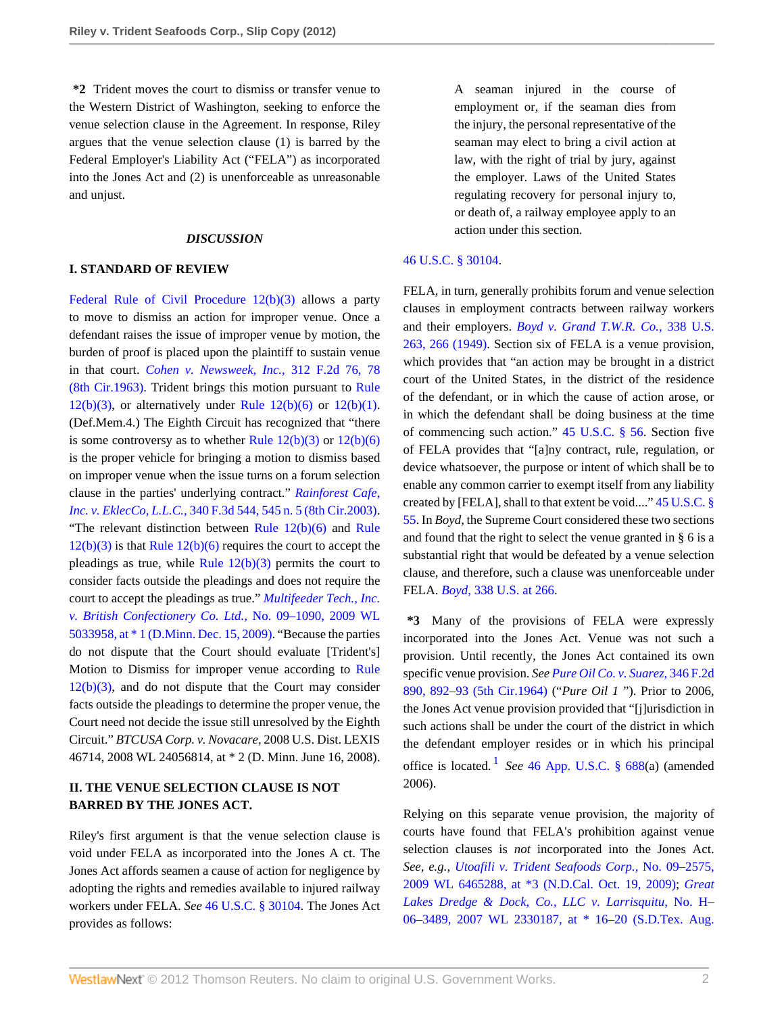**\*2** Trident moves the court to dismiss or transfer venue to the Western District of Washington, seeking to enforce the venue selection clause in the Agreement. In response, Riley argues that the venue selection clause (1) is barred by the Federal Employer's Liability Act ("FELA") as incorporated into the Jones Act and (2) is unenforceable as unreasonable and unjust.

#### *DISCUSSION*

#### **I. STANDARD OF REVIEW**

[Federal Rule of Civil Procedure 12\(b\)\(3\)](http://www.westlaw.com/Link/Document/FullText?findType=L&pubNum=1004365&cite=USFRCPR12&originatingDoc=Ib8df127348ab11e1aa95d4e04082c730&refType=LQ&originationContext=document&vr=3.0&rs=cblt1.0&transitionType=DocumentItem&contextData=(sc.Search)) allows a party to move to dismiss an action for improper venue. Once a defendant raises the issue of improper venue by motion, the burden of proof is placed upon the plaintiff to sustain venue in that court. *[Cohen v. Newsweek, Inc.,](http://www.westlaw.com/Link/Document/FullText?findType=Y&serNum=1963113507&pubNum=350&originationContext=document&vr=3.0&rs=cblt1.0&transitionType=DocumentItem&contextData=(sc.Search)#co_pp_sp_350_78)* 312 F.2d 76, 78 [\(8th Cir.1963\)](http://www.westlaw.com/Link/Document/FullText?findType=Y&serNum=1963113507&pubNum=350&originationContext=document&vr=3.0&rs=cblt1.0&transitionType=DocumentItem&contextData=(sc.Search)#co_pp_sp_350_78). Trident brings this motion pursuant to [Rule](http://www.westlaw.com/Link/Document/FullText?findType=L&pubNum=1004365&cite=USFRCPR12&originatingDoc=Ib8df127348ab11e1aa95d4e04082c730&refType=LQ&originationContext=document&vr=3.0&rs=cblt1.0&transitionType=DocumentItem&contextData=(sc.Search))  $12(b)(3)$ , or alternatively under Rule  $12(b)(6)$  or  $12(b)(1)$ . (Def.Mem.4.) The Eighth Circuit has recognized that "there is some controversy as to whether Rule  $12(b)(3)$  or  $12(b)(6)$ is the proper vehicle for bringing a motion to dismiss based on improper venue when the issue turns on a forum selection clause in the parties' underlying contract." *[Rainforest Cafe,](http://www.westlaw.com/Link/Document/FullText?findType=Y&serNum=2003564862&pubNum=506&originationContext=document&vr=3.0&rs=cblt1.0&transitionType=DocumentItem&contextData=(sc.Search)#co_pp_sp_506_545) Inc. v. EklecCo, L.L.C.,* [340 F.3d 544, 545 n. 5 \(8th Cir.2003\)](http://www.westlaw.com/Link/Document/FullText?findType=Y&serNum=2003564862&pubNum=506&originationContext=document&vr=3.0&rs=cblt1.0&transitionType=DocumentItem&contextData=(sc.Search)#co_pp_sp_506_545). "The relevant distinction between [Rule](http://www.westlaw.com/Link/Document/FullText?findType=L&pubNum=1004365&cite=USFRCPR12&originatingDoc=Ib8df127348ab11e1aa95d4e04082c730&refType=LQ&originationContext=document&vr=3.0&rs=cblt1.0&transitionType=DocumentItem&contextData=(sc.Search))  $12(b)(6)$  and Rule  $12(b)(3)$  is that Rule  $12(b)(6)$  requires the court to accept the pleadings as true, while Rule  $12(b)(3)$  permits the court to consider facts outside the pleadings and does not require the court to accept the pleadings as true." *[Multifeeder Tech., Inc.](http://www.westlaw.com/Link/Document/FullText?findType=Y&serNum=2020863928&pubNum=0000999&originationContext=document&vr=3.0&rs=cblt1.0&transitionType=DocumentItem&contextData=(sc.Search)) [v. British Confectionery Co. Ltd.,](http://www.westlaw.com/Link/Document/FullText?findType=Y&serNum=2020863928&pubNum=0000999&originationContext=document&vr=3.0&rs=cblt1.0&transitionType=DocumentItem&contextData=(sc.Search))* No. 09–1090, 2009 WL [5033958, at \\* 1 \(D.Minn. Dec. 15, 2009\).](http://www.westlaw.com/Link/Document/FullText?findType=Y&serNum=2020863928&pubNum=0000999&originationContext=document&vr=3.0&rs=cblt1.0&transitionType=DocumentItem&contextData=(sc.Search)) "Because the parties do not dispute that the Court should evaluate [Trident's] Motion to Dismiss for improper venue according to [Rule](http://www.westlaw.com/Link/Document/FullText?findType=L&pubNum=1004365&cite=USFRCPR12&originatingDoc=Ib8df127348ab11e1aa95d4e04082c730&refType=LQ&originationContext=document&vr=3.0&rs=cblt1.0&transitionType=DocumentItem&contextData=(sc.Search))  $12(b)(3)$ , and do not dispute that the Court may consider facts outside the pleadings to determine the proper venue, the Court need not decide the issue still unresolved by the Eighth Circuit." *BTCUSA Corp. v. Novacare,* 2008 U.S. Dist. LEXIS 46714, 2008 WL 24056814, at \* 2 (D. Minn. June 16, 2008).

# **II. THE VENUE SELECTION CLAUSE IS NOT BARRED BY THE JONES ACT.**

Riley's first argument is that the venue selection clause is void under FELA as incorporated into the Jones A ct. The Jones Act affords seamen a cause of action for negligence by adopting the rights and remedies available to injured railway workers under FELA. *See* [46 U.S.C. § 30104.](http://www.westlaw.com/Link/Document/FullText?findType=L&pubNum=1000546&cite=46USCAS30104&originatingDoc=Ib8df127348ab11e1aa95d4e04082c730&refType=LQ&originationContext=document&vr=3.0&rs=cblt1.0&transitionType=DocumentItem&contextData=(sc.Search)) The Jones Act provides as follows:

A seaman injured in the course of employment or, if the seaman dies from the injury, the personal representative of the seaman may elect to bring a civil action at law, with the right of trial by jury, against the employer. Laws of the United States regulating recovery for personal injury to, or death of, a railway employee apply to an action under this section.

## [46 U.S.C. § 30104](http://www.westlaw.com/Link/Document/FullText?findType=L&pubNum=1000546&cite=46USCAS30104&originatingDoc=Ib8df127348ab11e1aa95d4e04082c730&refType=LQ&originationContext=document&vr=3.0&rs=cblt1.0&transitionType=DocumentItem&contextData=(sc.Search)).

FELA, in turn, generally prohibits forum and venue selection clauses in employment contracts between railway workers and their employers. *[Boyd v. Grand T.W.R. Co.,](http://www.westlaw.com/Link/Document/FullText?findType=Y&serNum=1949116174&pubNum=780&originationContext=document&vr=3.0&rs=cblt1.0&transitionType=DocumentItem&contextData=(sc.Search)#co_pp_sp_780_266)* 338 U.S. [263, 266 \(1949\)](http://www.westlaw.com/Link/Document/FullText?findType=Y&serNum=1949116174&pubNum=780&originationContext=document&vr=3.0&rs=cblt1.0&transitionType=DocumentItem&contextData=(sc.Search)#co_pp_sp_780_266). Section six of FELA is a venue provision, which provides that "an action may be brought in a district court of the United States, in the district of the residence of the defendant, or in which the cause of action arose, or in which the defendant shall be doing business at the time of commencing such action." [45 U.S.C. § 56.](http://www.westlaw.com/Link/Document/FullText?findType=L&pubNum=1000546&cite=45USCAS56&originatingDoc=Ib8df127348ab11e1aa95d4e04082c730&refType=LQ&originationContext=document&vr=3.0&rs=cblt1.0&transitionType=DocumentItem&contextData=(sc.Search)) Section five of FELA provides that "[a]ny contract, rule, regulation, or device whatsoever, the purpose or intent of which shall be to enable any common carrier to exempt itself from any liability created by [FELA], shall to that extent be void...." [45 U.S.C. §](http://www.westlaw.com/Link/Document/FullText?findType=L&pubNum=1000546&cite=45USCAS55&originatingDoc=Ib8df127348ab11e1aa95d4e04082c730&refType=LQ&originationContext=document&vr=3.0&rs=cblt1.0&transitionType=DocumentItem&contextData=(sc.Search)) [55](http://www.westlaw.com/Link/Document/FullText?findType=L&pubNum=1000546&cite=45USCAS55&originatingDoc=Ib8df127348ab11e1aa95d4e04082c730&refType=LQ&originationContext=document&vr=3.0&rs=cblt1.0&transitionType=DocumentItem&contextData=(sc.Search)). In *Boyd,* the Supreme Court considered these two sections and found that the right to select the venue granted in § 6 is a substantial right that would be defeated by a venue selection clause, and therefore, such a clause was unenforceable under FELA. *Boyd,* [338 U.S. at 266](http://www.westlaw.com/Link/Document/FullText?findType=Y&serNum=1949116174&pubNum=780&originationContext=document&vr=3.0&rs=cblt1.0&transitionType=DocumentItem&contextData=(sc.Search)#co_pp_sp_780_266).

**\*3** Many of the provisions of FELA were expressly incorporated into the Jones Act. Venue was not such a provision. Until recently, the Jones Act contained its own specific venue provision. *See [Pure Oil Co. v. Suarez,](http://www.westlaw.com/Link/Document/FullText?findType=Y&serNum=1965113856&pubNum=350&originationContext=document&vr=3.0&rs=cblt1.0&transitionType=DocumentItem&contextData=(sc.Search)#co_pp_sp_350_892)* 346 F.2d [890, 892–93 \(5th Cir.1964\)](http://www.westlaw.com/Link/Document/FullText?findType=Y&serNum=1965113856&pubNum=350&originationContext=document&vr=3.0&rs=cblt1.0&transitionType=DocumentItem&contextData=(sc.Search)#co_pp_sp_350_892) ("*Pure Oil 1* "). Prior to 2006, the Jones Act venue provision provided that "[j]urisdiction in such actions shall be under the court of the district in which the defendant employer resides or in which his principal office is located. [1](#page-3-0) *See* [46 App. U.S.C. § 688\(](http://www.westlaw.com/Link/Document/FullText?findType=L&pubNum=1000866&cite=46APPUSCAS688&originatingDoc=Ib8df127348ab11e1aa95d4e04082c730&refType=LQ&originationContext=document&vr=3.0&rs=cblt1.0&transitionType=DocumentItem&contextData=(sc.Search))a) (amended 2006).

<span id="page-1-0"></span>Relying on this separate venue provision, the majority of courts have found that FELA's prohibition against venue selection clauses is *not* incorporated into the Jones Act. *See, e.g., [Utoafili v. Trident Seafoods Corp.,](http://www.westlaw.com/Link/Document/FullText?findType=Y&serNum=2021998949&pubNum=0000999&originationContext=document&vr=3.0&rs=cblt1.0&transitionType=DocumentItem&contextData=(sc.Search))* No. 09–2575, [2009 WL 6465288, at \\*3 \(N.D.Cal. Oct. 19, 2009\)](http://www.westlaw.com/Link/Document/FullText?findType=Y&serNum=2021998949&pubNum=0000999&originationContext=document&vr=3.0&rs=cblt1.0&transitionType=DocumentItem&contextData=(sc.Search)); *[Great](http://www.westlaw.com/Link/Document/FullText?findType=Y&serNum=2012929901&pubNum=0000999&originationContext=document&vr=3.0&rs=cblt1.0&transitionType=DocumentItem&contextData=(sc.Search)) [Lakes Dredge & Dock, Co., LLC v. Larrisquitu,](http://www.westlaw.com/Link/Document/FullText?findType=Y&serNum=2012929901&pubNum=0000999&originationContext=document&vr=3.0&rs=cblt1.0&transitionType=DocumentItem&contextData=(sc.Search))* No. H– [06–3489, 2007 WL 2330187, at \\* 16–20 \(S.D.Tex. Aug.](http://www.westlaw.com/Link/Document/FullText?findType=Y&serNum=2012929901&pubNum=0000999&originationContext=document&vr=3.0&rs=cblt1.0&transitionType=DocumentItem&contextData=(sc.Search))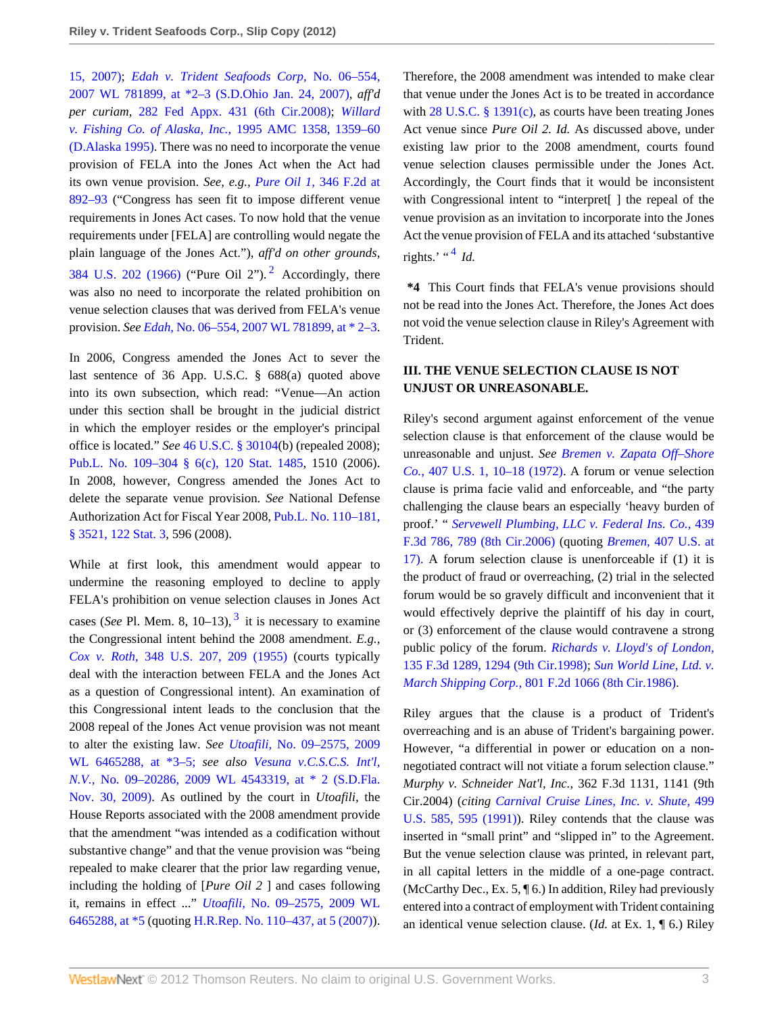[15, 2007\);](http://www.westlaw.com/Link/Document/FullText?findType=Y&serNum=2012929901&pubNum=0000999&originationContext=document&vr=3.0&rs=cblt1.0&transitionType=DocumentItem&contextData=(sc.Search)) *[Edah v. Trident Seafoods Corp,](http://www.westlaw.com/Link/Document/FullText?findType=Y&serNum=2011710174&pubNum=0000999&originationContext=document&vr=3.0&rs=cblt1.0&transitionType=DocumentItem&contextData=(sc.Search))* No. 06–554, [2007 WL 781899, at \\*2–3 \(S.D.Ohio Jan. 24, 2007\),](http://www.westlaw.com/Link/Document/FullText?findType=Y&serNum=2011710174&pubNum=0000999&originationContext=document&vr=3.0&rs=cblt1.0&transitionType=DocumentItem&contextData=(sc.Search)) *aff'd per curiam,* [282 Fed Appx. 431 \(6th Cir.2008\);](http://www.westlaw.com/Link/Document/FullText?findType=Y&serNum=2016385476&pubNum=6538&originationContext=document&vr=3.0&rs=cblt1.0&transitionType=DocumentItem&contextData=(sc.Search)) *[Willard](http://www.westlaw.com/Link/Document/FullText?findType=Y&serNum=1995155834&pubNum=109&originationContext=document&vr=3.0&rs=cblt1.0&transitionType=DocumentItem&contextData=(sc.Search)#co_pp_sp_109_1359) [v. Fishing Co. of Alaska, Inc.,](http://www.westlaw.com/Link/Document/FullText?findType=Y&serNum=1995155834&pubNum=109&originationContext=document&vr=3.0&rs=cblt1.0&transitionType=DocumentItem&contextData=(sc.Search)#co_pp_sp_109_1359)* 1995 AMC 1358, 1359–60 [\(D.Alaska 1995\)](http://www.westlaw.com/Link/Document/FullText?findType=Y&serNum=1995155834&pubNum=109&originationContext=document&vr=3.0&rs=cblt1.0&transitionType=DocumentItem&contextData=(sc.Search)#co_pp_sp_109_1359). There was no need to incorporate the venue provision of FELA into the Jones Act when the Act had its own venue provision. *See, e.g., Pure Oil 1,* [346 F.2d at](http://www.westlaw.com/Link/Document/FullText?findType=Y&serNum=1965113856&pubNum=350&originationContext=document&vr=3.0&rs=cblt1.0&transitionType=DocumentItem&contextData=(sc.Search)#co_pp_sp_350_892) [892–93](http://www.westlaw.com/Link/Document/FullText?findType=Y&serNum=1965113856&pubNum=350&originationContext=document&vr=3.0&rs=cblt1.0&transitionType=DocumentItem&contextData=(sc.Search)#co_pp_sp_350_892) ("Congress has seen fit to impose different venue requirements in Jones Act cases. To now hold that the venue requirements under [FELA] are controlling would negate the plain language of the Jones Act."), *aff'd on other grounds,* [384 U.S. 202 \(1966\)](http://www.westlaw.com/Link/Document/FullText?findType=Y&serNum=1966131560&pubNum=780&originationContext=document&vr=3.0&rs=cblt1.0&transitionType=DocumentItem&contextData=(sc.Search)) ("Pure Oil [2](#page-3-1)").<sup>2</sup> Accordingly, there was also no need to incorporate the related prohibition on venue selection clauses that was derived from FELA's venue provision. *See Edah,* [No. 06–554, 2007 WL 781899, at \\* 2–3](http://www.westlaw.com/Link/Document/FullText?findType=Y&serNum=2011710174&pubNum=0000999&originationContext=document&vr=3.0&rs=cblt1.0&transitionType=DocumentItem&contextData=(sc.Search)).

In 2006, Congress amended the Jones Act to sever the last sentence of 36 App. U.S.C. § 688(a) quoted above into its own subsection, which read: "Venue—An action under this section shall be brought in the judicial district in which the employer resides or the employer's principal office is located." *See* [46 U.S.C. § 30104](http://www.westlaw.com/Link/Document/FullText?findType=L&pubNum=1000546&cite=46USCAS30104&originatingDoc=Ib8df127348ab11e1aa95d4e04082c730&refType=LQ&originationContext=document&vr=3.0&rs=cblt1.0&transitionType=DocumentItem&contextData=(sc.Search))(b) (repealed 2008); [Pub.L. No. 109–304 § 6\(c\), 120 Stat. 1485,](http://www.westlaw.com/Link/Document/FullText?findType=l&pubNum=1077005&cite=UUID(ID56F274058-6E11DB8888A-1FBE4EA23AD)&originationContext=document&vr=3.0&rs=cblt1.0&transitionType=DocumentItem&contextData=(sc.Search)) 1510 (2006). In 2008, however, Congress amended the Jones Act to delete the separate venue provision. *See* National Defense Authorization Act for Fiscal Year 2008, [Pub.L. No. 110–181,](http://www.westlaw.com/Link/Document/FullText?findType=l&pubNum=1077005&cite=UUID(IA6ED0BA0CE-A911DCB3CEE-D86529E6D43)&originationContext=document&vr=3.0&rs=cblt1.0&transitionType=DocumentItem&contextData=(sc.Search)) [§ 3521, 122 Stat. 3,](http://www.westlaw.com/Link/Document/FullText?findType=l&pubNum=1077005&cite=UUID(IA6ED0BA0CE-A911DCB3CEE-D86529E6D43)&originationContext=document&vr=3.0&rs=cblt1.0&transitionType=DocumentItem&contextData=(sc.Search)) 596 (2008).

<span id="page-2-1"></span>While at first look, this amendment would appear to undermine the reasoning employed to decline to apply FELA's prohibition on venue selection clauses in Jones Act cases (*See* Pl. Mem. 8,  $10-13$  $10-13$ ),  $3$  it is necessary to examine the Congressional intent behind the 2008 amendment. *E.g., Cox v. Roth,* [348 U.S. 207, 209 \(1955\)](http://www.westlaw.com/Link/Document/FullText?findType=Y&serNum=1955117985&pubNum=780&originationContext=document&vr=3.0&rs=cblt1.0&transitionType=DocumentItem&contextData=(sc.Search)#co_pp_sp_780_209) (courts typically deal with the interaction between FELA and the Jones Act as a question of Congressional intent). An examination of this Congressional intent leads to the conclusion that the 2008 repeal of the Jones Act venue provision was not meant to alter the existing law. *See Utoafili,* [No. 09–2575, 2009](http://www.westlaw.com/Link/Document/FullText?findType=Y&serNum=2021998949&pubNum=999&originationContext=document&vr=3.0&rs=cblt1.0&transitionType=DocumentItem&contextData=(sc.Search)) [WL 6465288, at \\*3–5;](http://www.westlaw.com/Link/Document/FullText?findType=Y&serNum=2021998949&pubNum=999&originationContext=document&vr=3.0&rs=cblt1.0&transitionType=DocumentItem&contextData=(sc.Search)) *see also [Vesuna v.C.S.C.S. Int'l,](http://www.westlaw.com/Link/Document/FullText?findType=Y&serNum=2020639541&pubNum=0000999&originationContext=document&vr=3.0&rs=cblt1.0&transitionType=DocumentItem&contextData=(sc.Search)) N.V.,* [No. 09–20286, 2009 WL 4543319, at \\* 2 \(S.D.Fla.](http://www.westlaw.com/Link/Document/FullText?findType=Y&serNum=2020639541&pubNum=0000999&originationContext=document&vr=3.0&rs=cblt1.0&transitionType=DocumentItem&contextData=(sc.Search)) [Nov. 30, 2009\)](http://www.westlaw.com/Link/Document/FullText?findType=Y&serNum=2020639541&pubNum=0000999&originationContext=document&vr=3.0&rs=cblt1.0&transitionType=DocumentItem&contextData=(sc.Search)). As outlined by the court in *Utoafili,* the House Reports associated with the 2008 amendment provide that the amendment "was intended as a codification without substantive change" and that the venue provision was "being repealed to make clearer that the prior law regarding venue, including the holding of [*Pure Oil 2* ] and cases following it, remains in effect ..." *Utoafili,* [No. 09–2575, 2009 WL](http://www.westlaw.com/Link/Document/FullText?findType=Y&serNum=2021998949&pubNum=0000999&originationContext=document&vr=3.0&rs=cblt1.0&transitionType=DocumentItem&contextData=(sc.Search)) [6465288, at \\*5](http://www.westlaw.com/Link/Document/FullText?findType=Y&serNum=2021998949&pubNum=0000999&originationContext=document&vr=3.0&rs=cblt1.0&transitionType=DocumentItem&contextData=(sc.Search)) (quoting [H.R.Rep. No. 110–437, at 5 \(2007\)](http://www.westlaw.com/Link/Document/FullText?findType=Y&pubNum=0100014&cite=HRREP110-437&originationContext=document&vr=3.0&rs=cblt1.0&transitionType=DocumentItem&contextData=(sc.Search))). Therefore, the 2008 amendment was intended to make clear that venue under the Jones Act is to be treated in accordance with [28 U.S.C. § 1391\(c\)](http://www.westlaw.com/Link/Document/FullText?findType=L&pubNum=1000546&cite=28USCAS1391&originationContext=document&vr=3.0&rs=cblt1.0&transitionType=DocumentItem&contextData=(sc.Search)#co_pp_4b24000003ba5), as courts have been treating Jones Act venue since *Pure Oil 2. Id.* As discussed above, under existing law prior to the 2008 amendment, courts found venue selection clauses permissible under the Jones Act. Accordingly, the Court finds that it would be inconsistent with Congressional intent to "interpret<sup>[]</sup> the repeal of the venue provision as an invitation to incorporate into the Jones Act the venue provision of FELA and its attached 'substantive rights.' " $4$  *Id.* 

<span id="page-2-2"></span><span id="page-2-0"></span>**\*4** This Court finds that FELA's venue provisions should not be read into the Jones Act. Therefore, the Jones Act does not void the venue selection clause in Riley's Agreement with Trident.

# **III. THE VENUE SELECTION CLAUSE IS NOT UNJUST OR UNREASONABLE.**

Riley's second argument against enforcement of the venue selection clause is that enforcement of the clause would be unreasonable and unjust. *See [Bremen v. Zapata Off–Shore](http://www.westlaw.com/Link/Document/FullText?findType=Y&serNum=1972127141&pubNum=780&originationContext=document&vr=3.0&rs=cblt1.0&transitionType=DocumentItem&contextData=(sc.Search)#co_pp_sp_780_10) Co.,* [407 U.S. 1, 10–18 \(1972\).](http://www.westlaw.com/Link/Document/FullText?findType=Y&serNum=1972127141&pubNum=780&originationContext=document&vr=3.0&rs=cblt1.0&transitionType=DocumentItem&contextData=(sc.Search)#co_pp_sp_780_10) A forum or venue selection clause is prima facie valid and enforceable, and "the party challenging the clause bears an especially 'heavy burden of proof.' " *[Servewell Plumbing, LLC v. Federal Ins. Co.,](http://www.westlaw.com/Link/Document/FullText?findType=Y&serNum=2008564747&pubNum=506&originationContext=document&vr=3.0&rs=cblt1.0&transitionType=DocumentItem&contextData=(sc.Search)#co_pp_sp_506_789)* 439 [F.3d 786, 789 \(8th Cir.2006\)](http://www.westlaw.com/Link/Document/FullText?findType=Y&serNum=2008564747&pubNum=506&originationContext=document&vr=3.0&rs=cblt1.0&transitionType=DocumentItem&contextData=(sc.Search)#co_pp_sp_506_789) (quoting *Bremen,* [407 U.S. at](http://www.westlaw.com/Link/Document/FullText?findType=Y&serNum=1972127141&pubNum=780&originationContext=document&vr=3.0&rs=cblt1.0&transitionType=DocumentItem&contextData=(sc.Search)#co_pp_sp_780_17) [17\).](http://www.westlaw.com/Link/Document/FullText?findType=Y&serNum=1972127141&pubNum=780&originationContext=document&vr=3.0&rs=cblt1.0&transitionType=DocumentItem&contextData=(sc.Search)#co_pp_sp_780_17) A forum selection clause is unenforceable if (1) it is the product of fraud or overreaching, (2) trial in the selected forum would be so gravely difficult and inconvenient that it would effectively deprive the plaintiff of his day in court, or (3) enforcement of the clause would contravene a strong public policy of the forum. *[Richards v. Lloyd's of London,](http://www.westlaw.com/Link/Document/FullText?findType=Y&serNum=1998044791&pubNum=506&originationContext=document&vr=3.0&rs=cblt1.0&transitionType=DocumentItem&contextData=(sc.Search)#co_pp_sp_506_1294)* [135 F.3d 1289, 1294 \(9th Cir.1998\);](http://www.westlaw.com/Link/Document/FullText?findType=Y&serNum=1998044791&pubNum=506&originationContext=document&vr=3.0&rs=cblt1.0&transitionType=DocumentItem&contextData=(sc.Search)#co_pp_sp_506_1294) *[Sun World Line, Ltd. v.](http://www.westlaw.com/Link/Document/FullText?findType=Y&serNum=1986147993&pubNum=350&originationContext=document&vr=3.0&rs=cblt1.0&transitionType=DocumentItem&contextData=(sc.Search)) March Shipping Corp.,* [801 F.2d 1066 \(8th Cir.1986\)](http://www.westlaw.com/Link/Document/FullText?findType=Y&serNum=1986147993&pubNum=350&originationContext=document&vr=3.0&rs=cblt1.0&transitionType=DocumentItem&contextData=(sc.Search)).

Riley argues that the clause is a product of Trident's overreaching and is an abuse of Trident's bargaining power. However, "a differential in power or education on a nonnegotiated contract will not vitiate a forum selection clause." *Murphy v. Schneider Nat'l, Inc.,* 362 F.3d 1131, 1141 (9th Cir.2004) (*citing [Carnival Cruise Lines, Inc. v. Shute,](http://www.westlaw.com/Link/Document/FullText?findType=Y&serNum=1991075041&pubNum=780&originationContext=document&vr=3.0&rs=cblt1.0&transitionType=DocumentItem&contextData=(sc.Search)#co_pp_sp_780_595)* 499 [U.S. 585, 595 \(1991\)\)](http://www.westlaw.com/Link/Document/FullText?findType=Y&serNum=1991075041&pubNum=780&originationContext=document&vr=3.0&rs=cblt1.0&transitionType=DocumentItem&contextData=(sc.Search)#co_pp_sp_780_595). Riley contends that the clause was inserted in "small print" and "slipped in" to the Agreement. But the venue selection clause was printed, in relevant part, in all capital letters in the middle of a one-page contract. (McCarthy Dec., Ex. 5, ¶ 6.) In addition, Riley had previously entered into a contract of employment with Trident containing an identical venue selection clause. (*Id.* at Ex. 1, ¶ 6.) Riley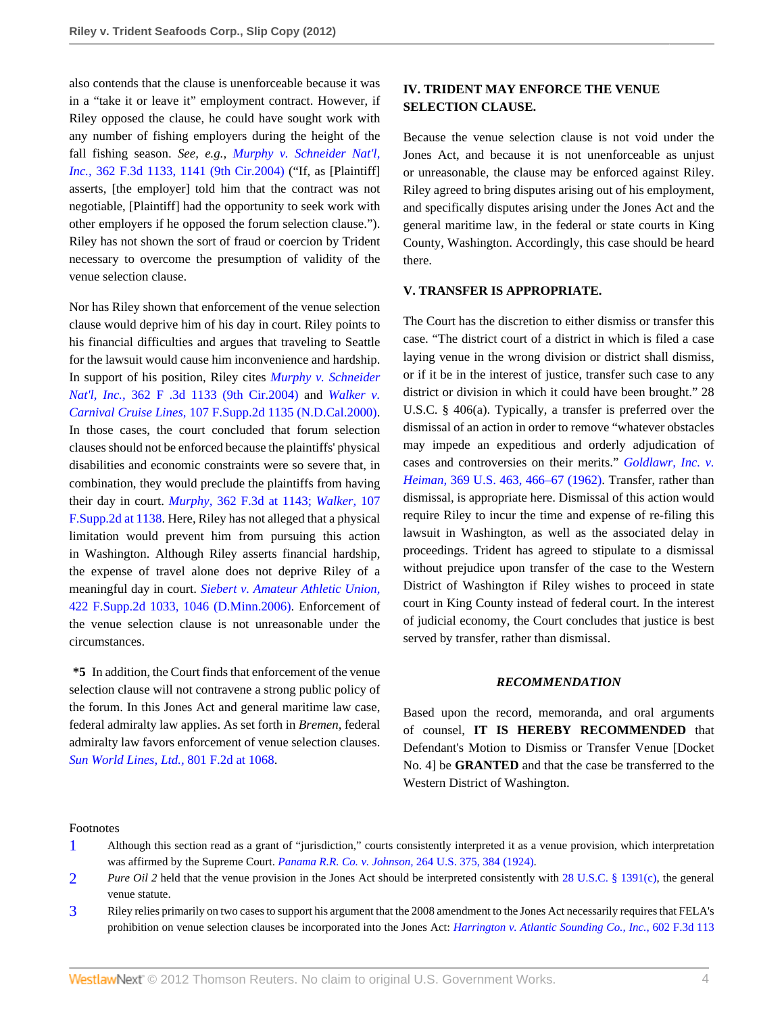also contends that the clause is unenforceable because it was in a "take it or leave it" employment contract. However, if Riley opposed the clause, he could have sought work with any number of fishing employers during the height of the fall fishing season. *See, e.g., [Murphy v. Schneider Nat'l,](http://www.westlaw.com/Link/Document/FullText?findType=Y&serNum=2004244525&pubNum=506&originationContext=document&vr=3.0&rs=cblt1.0&transitionType=DocumentItem&contextData=(sc.Search)#co_pp_sp_506_1141) Inc.,* [362 F.3d 1133, 1141 \(9th Cir.2004\)](http://www.westlaw.com/Link/Document/FullText?findType=Y&serNum=2004244525&pubNum=506&originationContext=document&vr=3.0&rs=cblt1.0&transitionType=DocumentItem&contextData=(sc.Search)#co_pp_sp_506_1141) ("If, as [Plaintiff] asserts, [the employer] told him that the contract was not negotiable, [Plaintiff] had the opportunity to seek work with other employers if he opposed the forum selection clause."). Riley has not shown the sort of fraud or coercion by Trident necessary to overcome the presumption of validity of the venue selection clause.

Nor has Riley shown that enforcement of the venue selection clause would deprive him of his day in court. Riley points to his financial difficulties and argues that traveling to Seattle for the lawsuit would cause him inconvenience and hardship. In support of his position, Riley cites *[Murphy v. Schneider](http://www.westlaw.com/Link/Document/FullText?findType=Y&serNum=2004244525&pubNum=506&originationContext=document&vr=3.0&rs=cblt1.0&transitionType=DocumentItem&contextData=(sc.Search)) Nat'l, Inc.,* [362 F .3d 1133 \(9th Cir.2004\)](http://www.westlaw.com/Link/Document/FullText?findType=Y&serNum=2004244525&pubNum=506&originationContext=document&vr=3.0&rs=cblt1.0&transitionType=DocumentItem&contextData=(sc.Search)) and *[Walker v.](http://www.westlaw.com/Link/Document/FullText?findType=Y&serNum=2000471290&pubNum=4637&originationContext=document&vr=3.0&rs=cblt1.0&transitionType=DocumentItem&contextData=(sc.Search)) Carnival Cruise Lines,* [107 F.Supp.2d 1135 \(N.D.Cal.2000\)](http://www.westlaw.com/Link/Document/FullText?findType=Y&serNum=2000471290&pubNum=4637&originationContext=document&vr=3.0&rs=cblt1.0&transitionType=DocumentItem&contextData=(sc.Search)). In those cases, the court concluded that forum selection clauses should not be enforced because the plaintiffs' physical disabilities and economic constraints were so severe that, in combination, they would preclude the plaintiffs from having their day in court. *Murphy,* [362 F.3d at 1143;](http://www.westlaw.com/Link/Document/FullText?findType=Y&serNum=2004244525&pubNum=506&originationContext=document&vr=3.0&rs=cblt1.0&transitionType=DocumentItem&contextData=(sc.Search)#co_pp_sp_506_1143) *[Walker,](http://www.westlaw.com/Link/Document/FullText?findType=Y&serNum=2000471290&pubNum=4637&originationContext=document&vr=3.0&rs=cblt1.0&transitionType=DocumentItem&contextData=(sc.Search)#co_pp_sp_4637_1138)* 107 [F.Supp.2d at 1138](http://www.westlaw.com/Link/Document/FullText?findType=Y&serNum=2000471290&pubNum=4637&originationContext=document&vr=3.0&rs=cblt1.0&transitionType=DocumentItem&contextData=(sc.Search)#co_pp_sp_4637_1138). Here, Riley has not alleged that a physical limitation would prevent him from pursuing this action in Washington. Although Riley asserts financial hardship, the expense of travel alone does not deprive Riley of a meaningful day in court. *[Siebert v. Amateur Athletic Union,](http://www.westlaw.com/Link/Document/FullText?findType=Y&serNum=2008702431&pubNum=4637&originationContext=document&vr=3.0&rs=cblt1.0&transitionType=DocumentItem&contextData=(sc.Search)#co_pp_sp_4637_1046)* [422 F.Supp.2d 1033, 1046 \(D.Minn.2006\)](http://www.westlaw.com/Link/Document/FullText?findType=Y&serNum=2008702431&pubNum=4637&originationContext=document&vr=3.0&rs=cblt1.0&transitionType=DocumentItem&contextData=(sc.Search)#co_pp_sp_4637_1046). Enforcement of the venue selection clause is not unreasonable under the circumstances.

**\*5** In addition, the Court finds that enforcement of the venue selection clause will not contravene a strong public policy of the forum. In this Jones Act and general maritime law case, federal admiralty law applies. As set forth in *Bremen,* federal admiralty law favors enforcement of venue selection clauses. *[Sun World Lines, Ltd.,](http://www.westlaw.com/Link/Document/FullText?findType=Y&serNum=1986147993&pubNum=350&originationContext=document&vr=3.0&rs=cblt1.0&transitionType=DocumentItem&contextData=(sc.Search)#co_pp_sp_350_1068)* 801 F.2d at 1068.

# **IV. TRIDENT MAY ENFORCE THE VENUE SELECTION CLAUSE.**

Because the venue selection clause is not void under the Jones Act, and because it is not unenforceable as unjust or unreasonable, the clause may be enforced against Riley. Riley agreed to bring disputes arising out of his employment, and specifically disputes arising under the Jones Act and the general maritime law, in the federal or state courts in King County, Washington. Accordingly, this case should be heard there.

### **V. TRANSFER IS APPROPRIATE.**

The Court has the discretion to either dismiss or transfer this case. "The district court of a district in which is filed a case laying venue in the wrong division or district shall dismiss, or if it be in the interest of justice, transfer such case to any district or division in which it could have been brought." 28 U.S.C. § 406(a). Typically, a transfer is preferred over the dismissal of an action in order to remove "whatever obstacles may impede an expeditious and orderly adjudication of cases and controversies on their merits." *[Goldlawr, Inc. v.](http://www.westlaw.com/Link/Document/FullText?findType=Y&serNum=1962127606&pubNum=780&originationContext=document&vr=3.0&rs=cblt1.0&transitionType=DocumentItem&contextData=(sc.Search)#co_pp_sp_780_466) Heiman,* [369 U.S. 463, 466–67 \(1962\)](http://www.westlaw.com/Link/Document/FullText?findType=Y&serNum=1962127606&pubNum=780&originationContext=document&vr=3.0&rs=cblt1.0&transitionType=DocumentItem&contextData=(sc.Search)#co_pp_sp_780_466). Transfer, rather than dismissal, is appropriate here. Dismissal of this action would require Riley to incur the time and expense of re-filing this lawsuit in Washington, as well as the associated delay in proceedings. Trident has agreed to stipulate to a dismissal without prejudice upon transfer of the case to the Western District of Washington if Riley wishes to proceed in state court in King County instead of federal court. In the interest of judicial economy, the Court concludes that justice is best served by transfer, rather than dismissal.

#### *RECOMMENDATION*

Based upon the record, memoranda, and oral arguments of counsel, **IT IS HEREBY RECOMMENDED** that Defendant's Motion to Dismiss or Transfer Venue [Docket No. 4] be **GRANTED** and that the case be transferred to the Western District of Washington.

#### Footnotes

- <span id="page-3-0"></span>[1](#page-1-0) Although this section read as a grant of "jurisdiction," courts consistently interpreted it as a venue provision, which interpretation was affirmed by the Supreme Court. *[Panama R.R. Co. v. Johnson,](http://www.westlaw.com/Link/Document/FullText?findType=Y&serNum=1924123474&pubNum=780&originationContext=document&vr=3.0&rs=cblt1.0&transitionType=DocumentItem&contextData=(sc.Search)#co_pp_sp_780_384)* 264 U.S. 375, 384 (1924).
- <span id="page-3-1"></span>[2](#page-2-0) *Pure Oil 2* held that the venue provision in the Jones Act should be interpreted consistently with [28 U.S.C. § 1391\(c\),](http://www.westlaw.com/Link/Document/FullText?findType=L&pubNum=1000546&cite=28USCAS1391&originationContext=document&vr=3.0&rs=cblt1.0&transitionType=DocumentItem&contextData=(sc.Search)#co_pp_4b24000003ba5) the general venue statute.
- <span id="page-3-2"></span>[3](#page-2-1) Riley relies primarily on two cases to support his argument that the 2008 amendment to the Jones Act necessarily requires that FELA's prohibition on venue selection clauses be incorporated into the Jones Act: *[Harrington v. Atlantic Sounding Co., Inc.,](http://www.westlaw.com/Link/Document/FullText?findType=Y&serNum=2021771855&pubNum=506&originationContext=document&vr=3.0&rs=cblt1.0&transitionType=DocumentItem&contextData=(sc.Search))* 602 F.3d 113